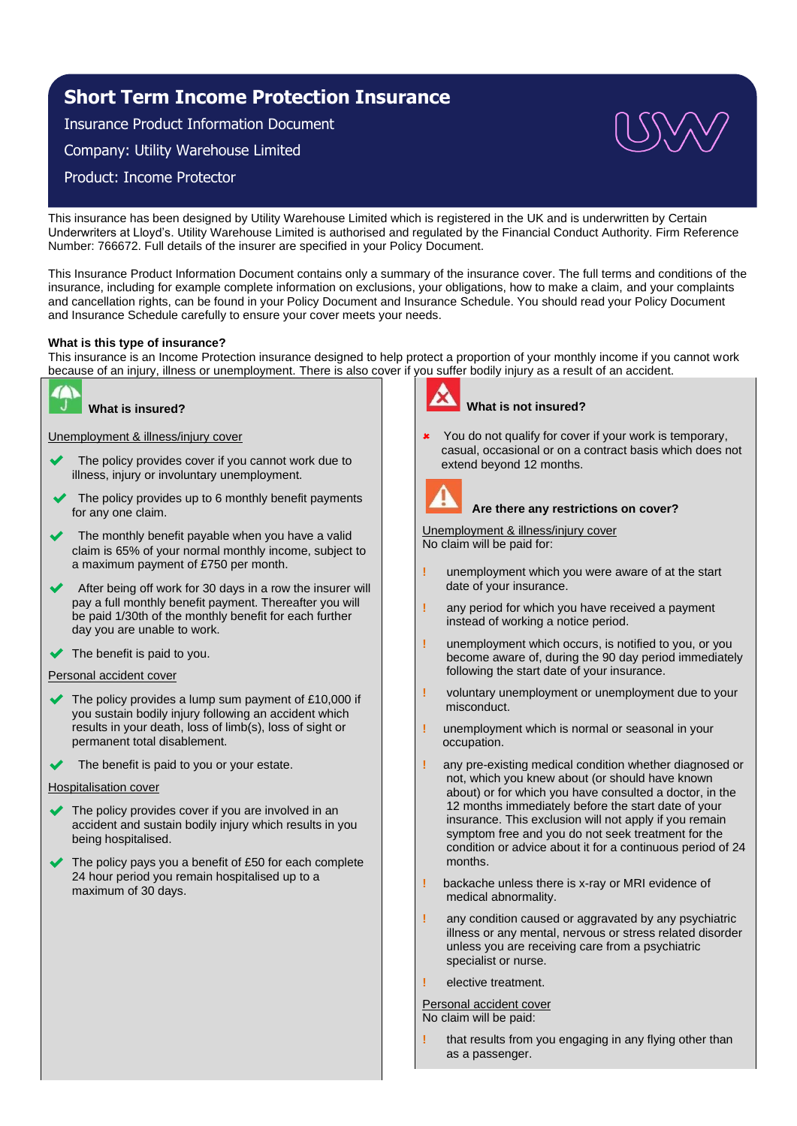# **Short Term Income Protection Insurance**

Insurance Product Information Document

Company: Utility Warehouse Limited

Product: Income Protector

This insurance has been designed by Utility Warehouse Limited which is registered in the UK and is underwritten by Certain Underwriters at Lloyd's. Utility Warehouse Limited is authorised and regulated by the Financial Conduct Authority. Firm Reference Number: 766672. Full details of the insurer are specified in your Policy Document.

This Insurance Product Information Document contains only a summary of the insurance cover. The full terms and conditions of the insurance, including for example complete information on exclusions, your obligations, how to make a claim, and your complaints and cancellation rights, can be found in your Policy Document and Insurance Schedule. You should read your Policy Document and Insurance Schedule carefully to ensure your cover meets your needs.

# **What is this type of insurance?**

This insurance is an Income Protection insurance designed to help protect a proportion of your monthly income if you cannot work because of an injury, illness or unemployment. There is also cover if you suffer bodily injury as a result of an accident.



# **What is insured?**

Unemployment & illness/injury cover

- The policy provides cover if you cannot work due to illness, injury or involuntary unemployment.
- The policy provides up to 6 monthly benefit payments for any one claim.
- The monthly benefit payable when you have a valid claim is 65% of your normal monthly income, subject to a maximum payment of £750 per month.
- After being off work for 30 days in a row the insurer will pay a full monthly benefit payment. Thereafter you will be paid 1/30th of the monthly benefit for each further day you are unable to work.
- $\blacktriangleright$  The benefit is paid to you.

# Personal accident cover

- The policy provides a lump sum payment of £10,000 if you sustain bodily injury following an accident which results in your death, loss of limb(s), loss of sight or permanent total disablement.
- The benefit is paid to you or your estate.

## Hospitalisation cover

- The policy provides cover if you are involved in an accident and sustain bodily injury which results in you being hospitalised.
- The policy pays you a benefit of £50 for each complete 24 hour period you remain hospitalised up to a maximum of 30 days.



# **What is not insured?**

You do not qualify for cover if your work is temporary, casual, occasional or on a contract basis which does not extend beyond 12 months.



# **Are there any restrictions on cover?**

Unemployment & illness/injury cover No claim will be paid for:

- **!** unemployment which you were aware of at the start date of your insurance.
- **!** any period for which you have received a payment instead of working a notice period.
- **!** unemployment which occurs, is notified to you, or you become aware of, during the 90 day period immediately following the start date of your insurance.
- **!** voluntary unemployment or unemployment due to your misconduct.
- **!** unemployment which is normal or seasonal in your occupation.
- **!** any pre-existing medical condition whether diagnosed or not, which you knew about (or should have known about) or for which you have consulted a doctor, in the 12 months immediately before the start date of your insurance. This exclusion will not apply if you remain symptom free and you do not seek treatment for the condition or advice about it for a continuous period of 24 months.
- **!** backache unless there is x-ray or MRI evidence of medical abnormality.
- **!** any condition caused or aggravated by any psychiatric illness or any mental, nervous or stress related disorder unless you are receiving care from a psychiatric specialist or nurse.
- **!** elective treatment.

Personal accident cover No claim will be paid:

**!** that results from you engaging in any flying other than as a passenger.

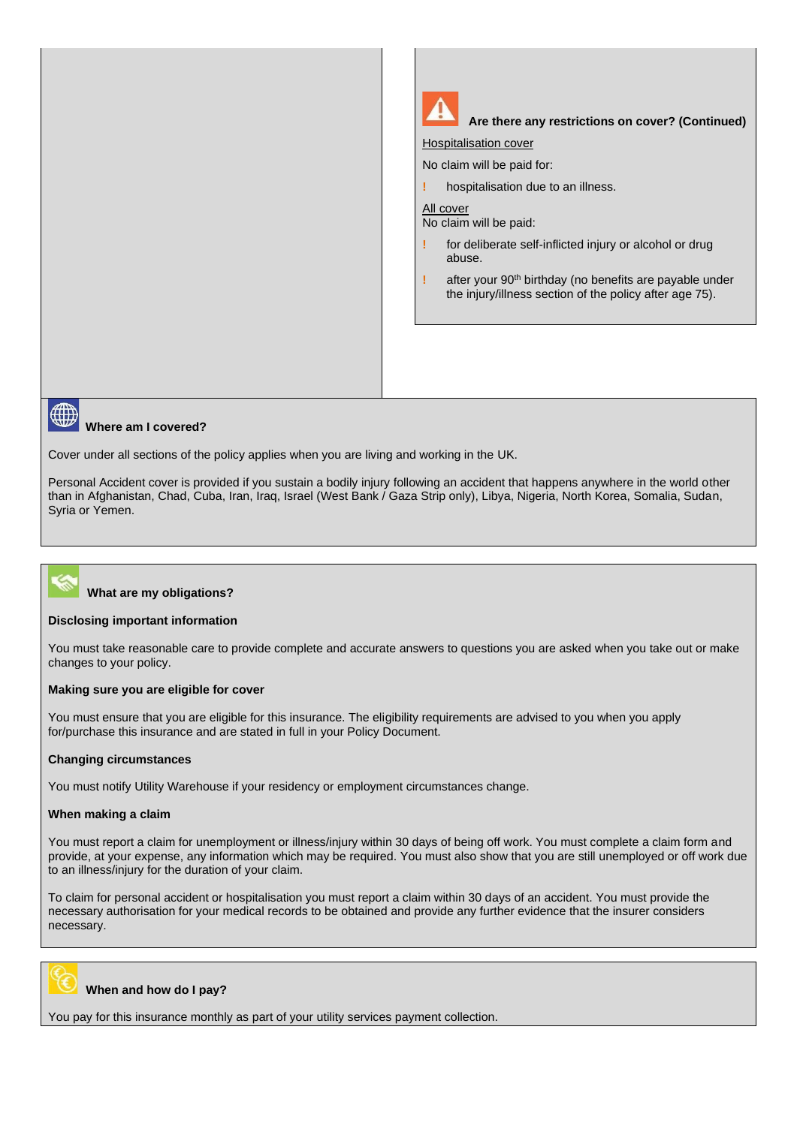



## **Where am I covered?**

Cover under all sections of the policy applies when you are living and working in the UK.

Personal Accident cover is provided if you sustain a bodily injury following an accident that happens anywhere in the world other than in Afghanistan, Chad, Cuba, Iran, Iraq, Israel (West Bank / Gaza Strip only), Libya, Nigeria, North Korea, Somalia, Sudan, Syria or Yemen.



## **What are my obligations?**

#### **Disclosing important information**

You must take reasonable care to provide complete and accurate answers to questions you are asked when you take out or make changes to your policy.

## **Making sure you are eligible for cover**

You must ensure that you are eligible for this insurance. The eligibility requirements are advised to you when you apply for/purchase this insurance and are stated in full in your Policy Document.

## **Changing circumstances**

You must notify Utility Warehouse if your residency or employment circumstances change.

#### **When making a claim**

You must report a claim for unemployment or illness/injury within 30 days of being off work. You must complete a claim form and provide, at your expense, any information which may be required. You must also show that you are still unemployed or off work due to an illness/injury for the duration of your claim.

To claim for personal accident or hospitalisation you must report a claim within 30 days of an accident. You must provide the necessary authorisation for your medical records to be obtained and provide any further evidence that the insurer considers necessary.



## **When and how do I pay?**

You pay for this insurance monthly as part of your utility services payment collection.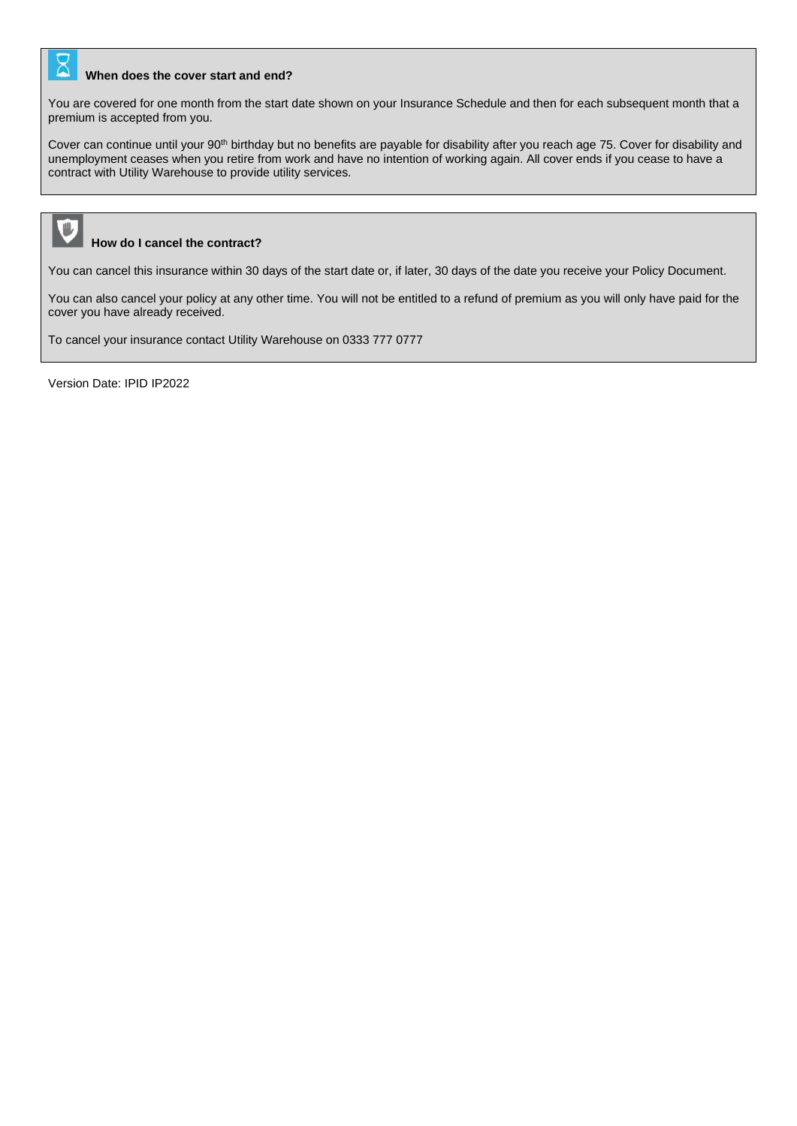# **When does the cover start and end?**

You are covered for one month from the start date shown on your Insurance Schedule and then for each subsequent month that a premium is accepted from you.

Cover can continue until your 90<sup>th</sup> birthday but no benefits are payable for disability after you reach age 75. Cover for disability and unemployment ceases when you retire from work and have no intention of working again. All cover ends if you cease to have a contract with Utility Warehouse to provide utility services.



## **How do I cancel the contract?**

You can cancel this insurance within 30 days of the start date or, if later, 30 days of the date you receive your Policy Document.

You can also cancel your policy at any other time. You will not be entitled to a refund of premium as you will only have paid for the cover you have already received.

To cancel your insurance contact Utility Warehouse on 0333 777 0777

Version Date: IPID IP2022